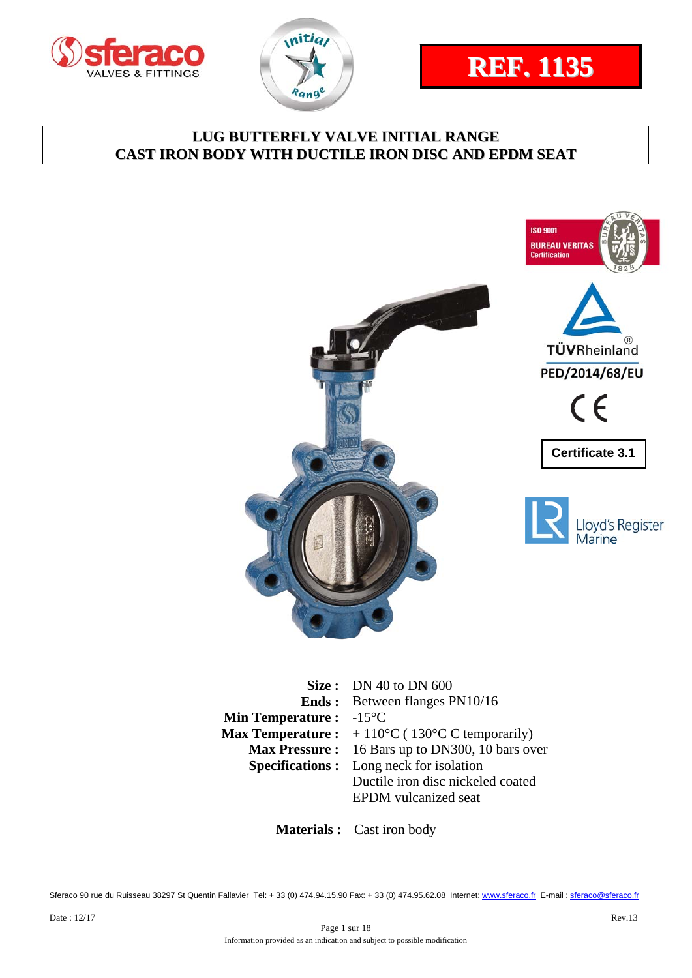







|                                          | Size: DN 40 to DN $600$                                                      |
|------------------------------------------|------------------------------------------------------------------------------|
|                                          | <b>Ends:</b> Between flanges PN10/16                                         |
| <b>Min Temperature :</b> $-15^{\circ}$ C |                                                                              |
|                                          | <b>Max Temperature :</b> $+110^{\circ}C(130^{\circ}C \text{ C temporarily})$ |
|                                          | Max Pressure: 16 Bars up to DN300, 10 bars over                              |
|                                          | <b>Specifications :</b> Long neck for isolation                              |
|                                          | Ductile iron disc nickeled coated                                            |
|                                          | <b>EPDM</b> vulcanized seat                                                  |
|                                          |                                                                              |

**Materials :** Cast iron body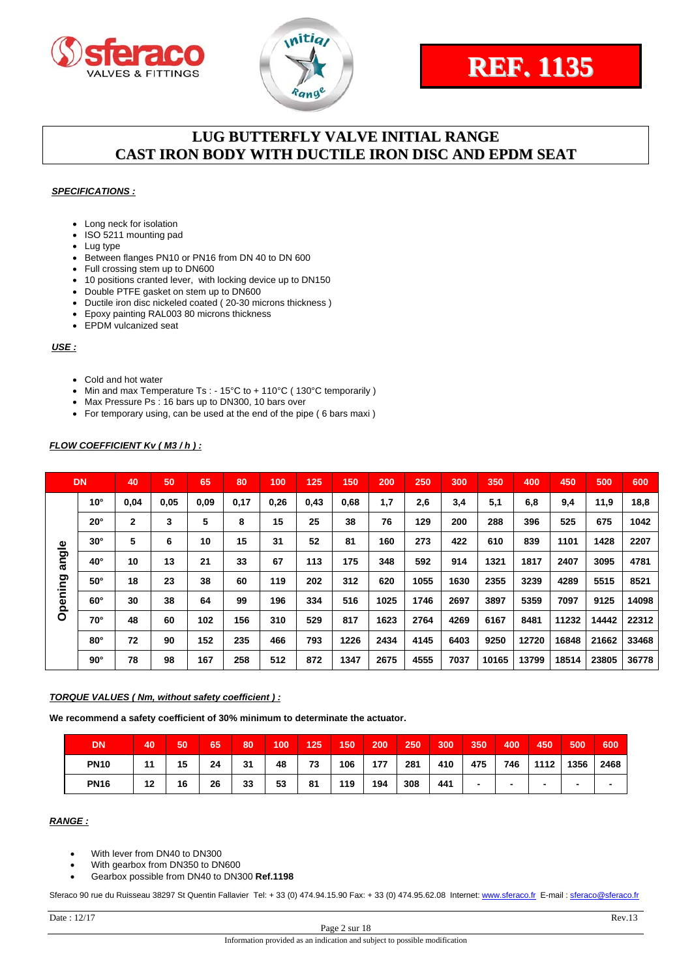



#### *SPECIFICATIONS :*

- Long neck for isolation
- ISO 5211 mounting pad
- Lug type
- Between flanges PN10 or PN16 from DN 40 to DN 600
- Full crossing stem up to DN600
- 10 positions cranted lever, with locking device up to DN150
- Double PTFE gasket on stem up to DN600
- Ductile iron disc nickeled coated ( 20-30 microns thickness )
- Epoxy painting RAL003 80 microns thickness
- EPDM vulcanized seat

#### *USE :*

- Cold and hot water
- Min and max Temperature Ts : 15°C to + 110°C (130°C temporarily )
- Max Pressure Ps : 16 bars up to DN300, 10 bars over
- For temporary using, can be used at the end of the pipe ( 6 bars maxi )

#### *FLOW COEFFICIENT Kv ( M3 / h ) :*

|         | <b>DN</b>    | 40           | 50   | 65   | 80   | 100  | 125  | 150  | 200  | 250  | 300  | 350   | 400   | 450   | 500   | 600   |
|---------|--------------|--------------|------|------|------|------|------|------|------|------|------|-------|-------|-------|-------|-------|
|         | $10^{\circ}$ | 0,04         | 0,05 | 0,09 | 0,17 | 0,26 | 0,43 | 0,68 | 1,7  | 2,6  | 3,4  | 5,1   | 6,8   | 9,4   | 11,9  | 18,8  |
|         | $20^{\circ}$ | $\mathbf{2}$ | 3    | 5    | 8    | 15   | 25   | 38   | 76   | 129  | 200  | 288   | 396   | 525   | 675   | 1042  |
|         | $30^\circ$   | 5            | 6    | 10   | 15   | 31   | 52   | 81   | 160  | 273  | 422  | 610   | 839   | 1101  | 1428  | 2207  |
| angle   | $40^{\circ}$ | 10           | 13   | 21   | 33   | 67   | 113  | 175  | 348  | 592  | 914  | 1321  | 1817  | 2407  | 3095  | 4781  |
|         | $50^\circ$   | 18           | 23   | 38   | 60   | 119  | 202  | 312  | 620  | 1055 | 1630 | 2355  | 3239  | 4289  | 5515  | 8521  |
| Opening | $60^\circ$   | 30           | 38   | 64   | 99   | 196  | 334  | 516  | 1025 | 1746 | 2697 | 3897  | 5359  | 7097  | 9125  | 14098 |
|         | 70°          | 48           | 60   | 102  | 156  | 310  | 529  | 817  | 1623 | 2764 | 4269 | 6167  | 8481  | 11232 | 14442 | 22312 |
|         | $80^\circ$   | 72           | 90   | 152  | 235  | 466  | 793  | 1226 | 2434 | 4145 | 6403 | 9250  | 12720 | 16848 | 21662 | 33468 |
|         | $90^\circ$   | 78           | 98   | 167  | 258  | 512  | 872  | 1347 | 2675 | 4555 | 7037 | 10165 | 13799 | 18514 | 23805 | 36778 |

#### *TORQUE VALUES ( Nm, without safety coefficient ) :*

**We recommend a safety coefficient of 30% minimum to determinate the actuator.** 

| DN          | 40 | 50 | 65 | 80 | 100 | 125 | 150 | 200 | 250 | 300 | 350 | 400 | 450  | 500                      | 600  |
|-------------|----|----|----|----|-----|-----|-----|-----|-----|-----|-----|-----|------|--------------------------|------|
| <b>PN10</b> | 11 | 15 | 24 | 31 | 48  | 73  | 106 | 177 | 281 | 410 | 475 | 746 | 1112 | 1356                     | 2468 |
| <b>PN16</b> | 12 | 16 | 26 | 33 | 53  | 81  | 119 | 194 | 308 | 441 | -   | -   | -    | $\overline{\phantom{a}}$ |      |

#### *RANGE :*

- With lever from DN40 to DN300
- With gearbox from DN350 to DN600
- Gearbox possible from DN40 to DN300 **Ref.1198**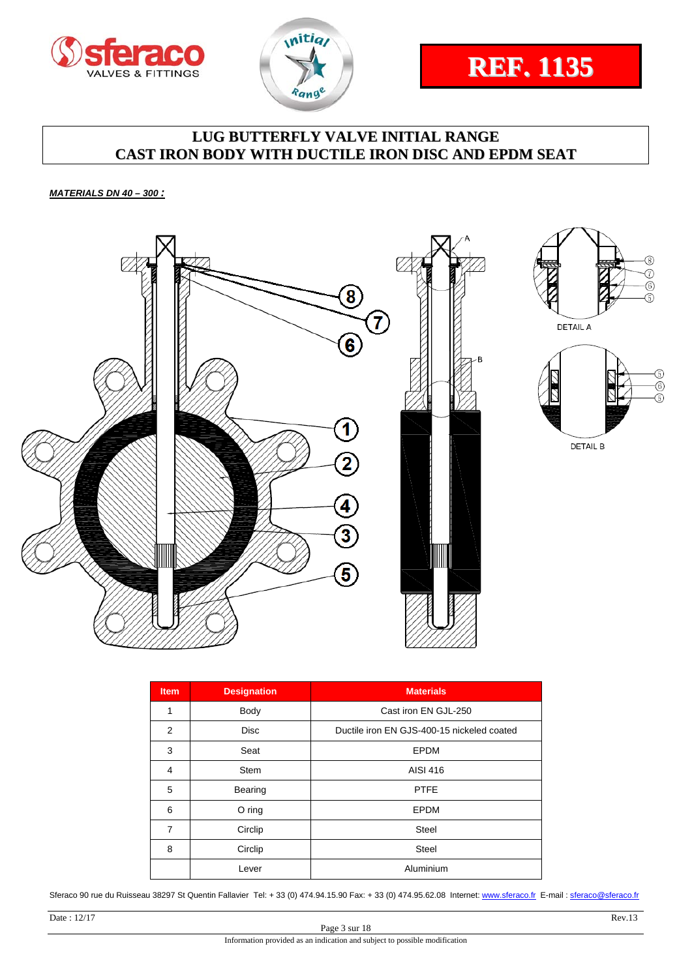





*MATERIALS DN 40 – 300 :* 



| <b>Item</b> | <b>Designation</b> | <b>Materials</b>                           |
|-------------|--------------------|--------------------------------------------|
| 1           | Body               | Cast iron EN GJL-250                       |
| 2           | <b>Disc</b>        | Ductile iron EN GJS-400-15 nickeled coated |
| 3           | Seat               | EPDM                                       |
| 4           | <b>Stem</b>        | AISI 416                                   |
| 5           | Bearing            | <b>PTFE</b>                                |
| 6           | $O$ ring           | <b>EPDM</b>                                |
| 7           | Circlip            | Steel                                      |
| 8           | Circlip            | <b>Steel</b>                               |
|             | Lever              | Aluminium                                  |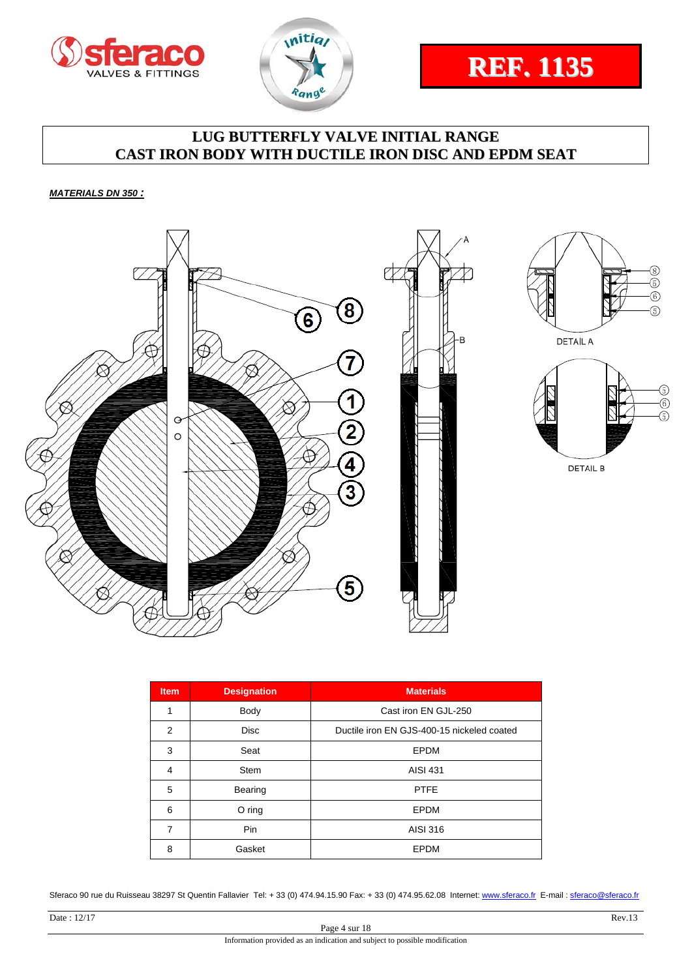





*MATERIALS DN 350 :* 



| <b>Item</b>    | <b>Designation</b> | <b>Materials</b>                           |
|----------------|--------------------|--------------------------------------------|
| 1              | Body               | Cast iron EN GJL-250                       |
| $\mathfrak{p}$ | <b>Disc</b>        | Ductile iron EN GJS-400-15 nickeled coated |
| 3              | Seat               | <b>EPDM</b>                                |
| $\overline{4}$ | <b>Stem</b>        | AISI 431                                   |
| 5              | Bearing            | <b>PTFE</b>                                |
| 6              | O ring             | EPDM                                       |
| 7              | Pin                | AISI 316                                   |
| 8              | Gasket             | EPDM                                       |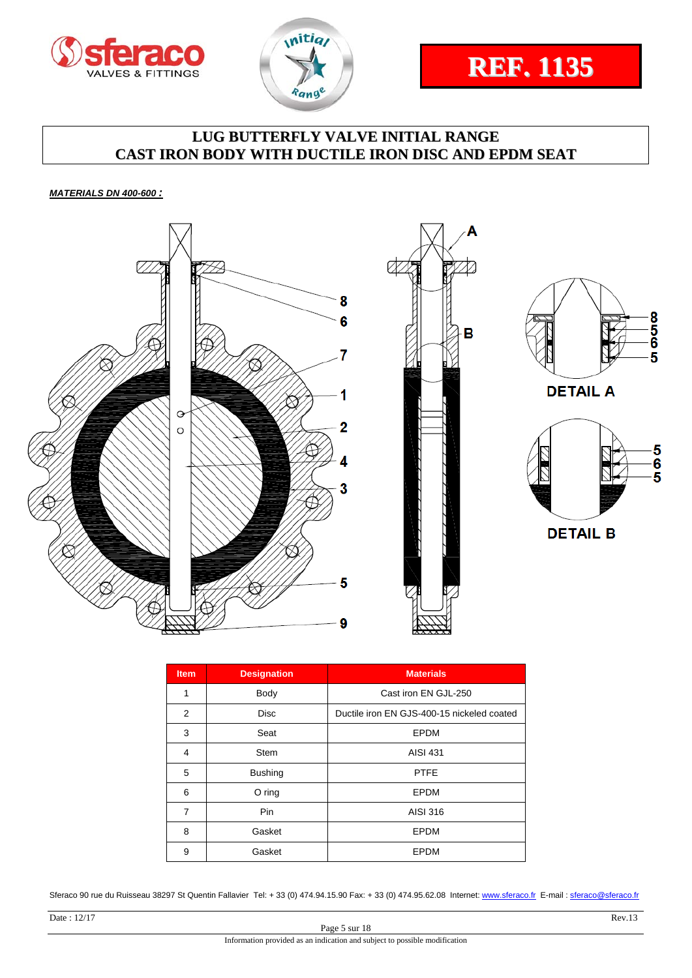





*MATERIALS DN 400-600 :* 



| <b>Item</b> | <b>Designation</b> | <b>Materials</b>                           |
|-------------|--------------------|--------------------------------------------|
| 1           | Body               | Cast iron EN GJL-250                       |
| 2           | <b>Disc</b>        | Ductile iron EN GJS-400-15 nickeled coated |
| 3           | Seat               | EPDM                                       |
| 4           | Stem               | <b>AISI 431</b>                            |
| 5           | <b>Bushing</b>     | <b>PTFE</b>                                |
| 6           | O ring             | EPDM                                       |
| 7           | Pin                | AISI 316                                   |
| 8           | Gasket             | <b>EPDM</b>                                |
| 9           | Gasket             | <b>EPDM</b>                                |

Sferaco 90 rue du Ruisseau 38297 St Quentin Fallavier Tel: + 33 (0) 474.94.15.90 Fax: + 33 (0) 474.95.62.08 Internet: www.sferaco.fr E-mail : sferaco@sferaco.fr

 $\frac{5}{6}$ 5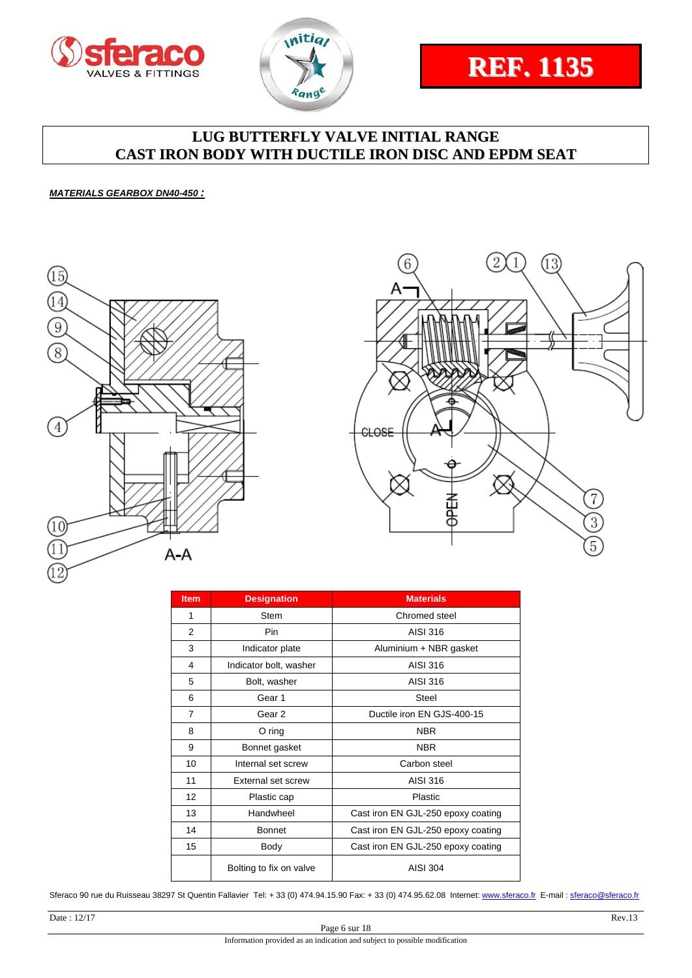



# **REF. 1135**

# **LUG BUTTERFLY VALVE INITIAL RANGE CAST IRON BODY WITH DUCTILE IRON DISC AND EPDM SEAT**

#### *MATERIALS GEARBOX DN40-450 :*





| <b>Item</b>    | <b>Designation</b>      | <b>Materials</b>                   |  |  |  |
|----------------|-------------------------|------------------------------------|--|--|--|
| 1              | <b>Stem</b>             | Chromed steel                      |  |  |  |
| 2              | Pin                     | AISI 316                           |  |  |  |
| 3              | Indicator plate         | Aluminium + NBR gasket             |  |  |  |
| 4              | Indicator bolt, washer  | AISI 316                           |  |  |  |
| 5              | Bolt, washer            | AISI 316                           |  |  |  |
| 6              | Gear 1                  | Steel                              |  |  |  |
| $\overline{7}$ | Gear 2                  | Ductile iron EN GJS-400-15         |  |  |  |
| 8              | $O$ ring                | <b>NBR</b>                         |  |  |  |
| 9              | Bonnet gasket           | <b>NBR</b>                         |  |  |  |
| 10             | Internal set screw      | Carbon steel                       |  |  |  |
| 11             | External set screw      | <b>AISI 316</b>                    |  |  |  |
| 12             | Plastic cap             | Plastic                            |  |  |  |
| 13             | Handwheel               | Cast iron EN GJL-250 epoxy coating |  |  |  |
| 14             | <b>Bonnet</b>           | Cast iron EN GJL-250 epoxy coating |  |  |  |
| 15             | Body                    | Cast iron EN GJL-250 epoxy coating |  |  |  |
|                | Bolting to fix on valve | <b>AISI 304</b>                    |  |  |  |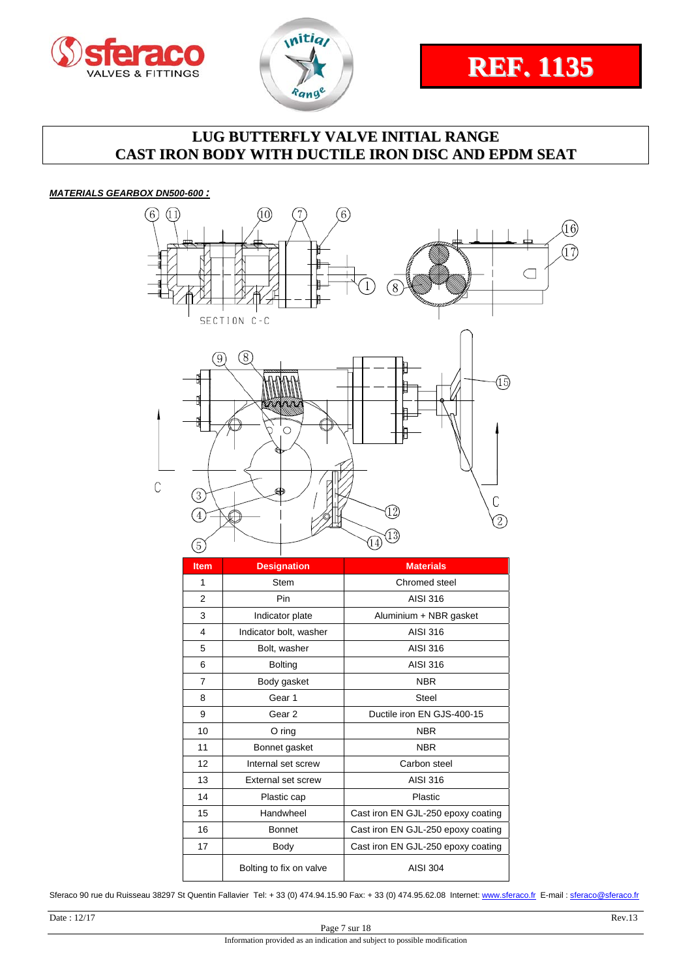





#### *MATERIALS GEARBOX DN500-600 :*



| <b>Item</b>    | <b>Designation</b>      | <b>Materials</b>                   |
|----------------|-------------------------|------------------------------------|
| 1              | <b>Stem</b>             | Chromed steel                      |
| $\overline{2}$ | Pin                     | AISI 316                           |
| 3              | Indicator plate         | Aluminium + NBR gasket             |
| 4              | Indicator bolt, washer  | AISI 316                           |
| 5              | Bolt, washer            | AISI 316                           |
| 6              | <b>Bolting</b>          | AISI 316                           |
| 7              | Body gasket             | <b>NBR</b>                         |
| 8              | Gear 1                  | <b>Steel</b>                       |
| 9              | Gear 2                  | Ductile iron EN GJS-400-15         |
| 10             | $O$ ring                | <b>NBR</b>                         |
| 11             | Bonnet gasket           | <b>NBR</b>                         |
| 12             | Internal set screw      | Carbon steel                       |
| 13             | External set screw      | AISI 316                           |
| 14             | Plastic cap             | Plastic                            |
| 15             | Handwheel               | Cast iron EN GJL-250 epoxy coating |
| 16             | <b>Bonnet</b>           | Cast iron EN GJL-250 epoxy coating |
| 17             | Body                    | Cast iron EN GJL-250 epoxy coating |
|                | Bolting to fix on valve | AISI 304                           |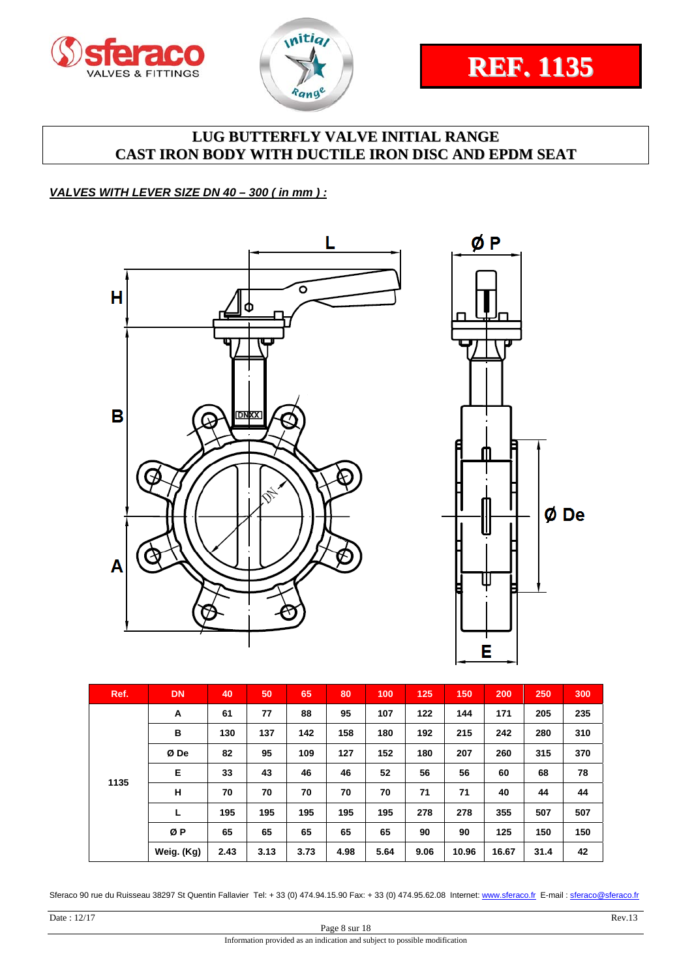



Ø De

# **LUG BUTTERFLY VALVE INITIAL RANGE CAST IRON BODY WITH DUCTILE IRON DISC AND EPDM SEAT**

#### *VALVES WITH LEVER SIZE DN 40 – 300 ( in mm ) :*



| Ref. | <b>DN</b>  | 40   | 50   | 65   | 80   | 100  | 125  | 150   | 200   | 250  | 300 |
|------|------------|------|------|------|------|------|------|-------|-------|------|-----|
|      | A          | 61   | 77   | 88   | 95   | 107  | 122  | 144   | 171   | 205  | 235 |
|      | в          | 130  | 137  | 142  | 158  | 180  | 192  | 215   | 242   | 280  | 310 |
|      | Ø De       | 82   | 95   | 109  | 127  | 152  | 180  | 207   | 260   | 315  | 370 |
| 1135 | E          | 33   | 43   | 46   | 46   | 52   | 56   | 56    | 60    | 68   | 78  |
|      | н          | 70   | 70   | 70   | 70   | 70   | 71   | 71    | 40    | 44   | 44  |
|      | L          | 195  | 195  | 195  | 195  | 195  | 278  | 278   | 355   | 507  | 507 |
|      | ØP         | 65   | 65   | 65   | 65   | 65   | 90   | 90    | 125   | 150  | 150 |
|      | Weig. (Kg) | 2.43 | 3.13 | 3.73 | 4.98 | 5.64 | 9.06 | 10.96 | 16.67 | 31.4 | 42  |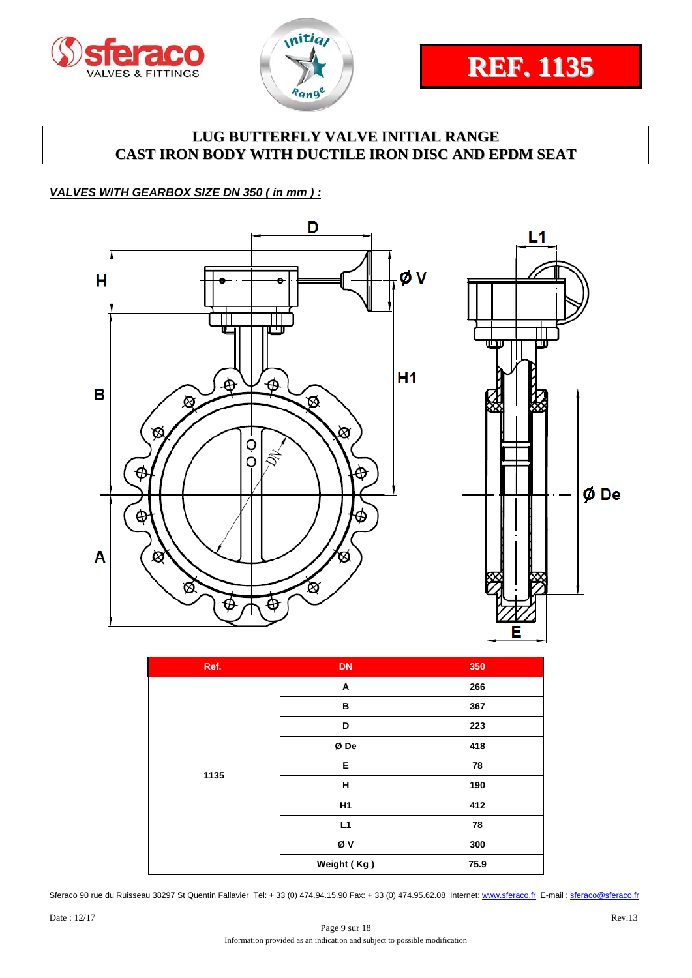



#### *VALVES WITH GEARBOX SIZE DN 350 ( in mm ) :*



| Ref. | <b>DN</b>   | 350  |
|------|-------------|------|
|      | Α           | 266  |
|      | B           | 367  |
|      | D           | 223  |
|      | Ø De        | 418  |
|      | E           | 78   |
| 1135 | н           | 190  |
|      | H1          | 412  |
|      | L1          | 78   |
|      | ØV          | 300  |
|      | Weight (Kg) | 75.9 |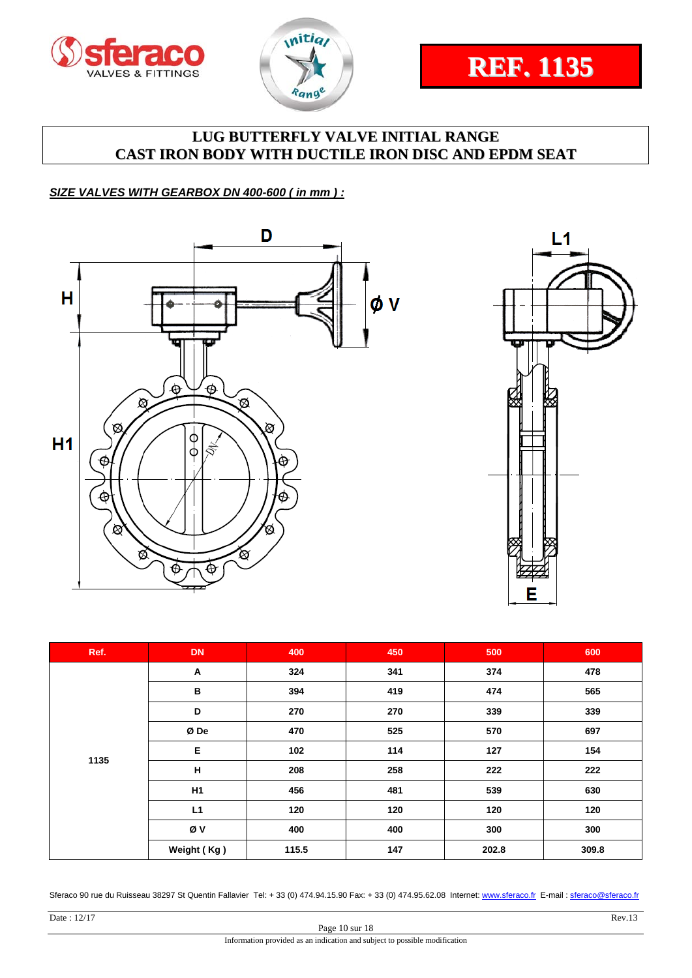





#### *SIZE VALVES WITH GEARBOX DN 400-600 ( in mm ) :*





| Ref. | <b>DN</b>   | 400   | 450 | 500   | 600   |
|------|-------------|-------|-----|-------|-------|
|      | A           | 324   | 341 | 374   | 478   |
|      | в           | 394   | 419 | 474   | 565   |
|      | D           | 270   | 270 | 339   | 339   |
|      | Ø De        | 470   | 525 | 570   | 697   |
|      | E           | 102   | 114 | 127   | 154   |
| 1135 | н           | 208   | 258 | 222   | 222   |
|      | H1          | 456   | 481 | 539   | 630   |
|      | L1          | 120   | 120 | 120   | 120   |
|      | Øν          | 400   | 400 | 300   | 300   |
|      | Weight (Kg) | 115.5 | 147 | 202.8 | 309.8 |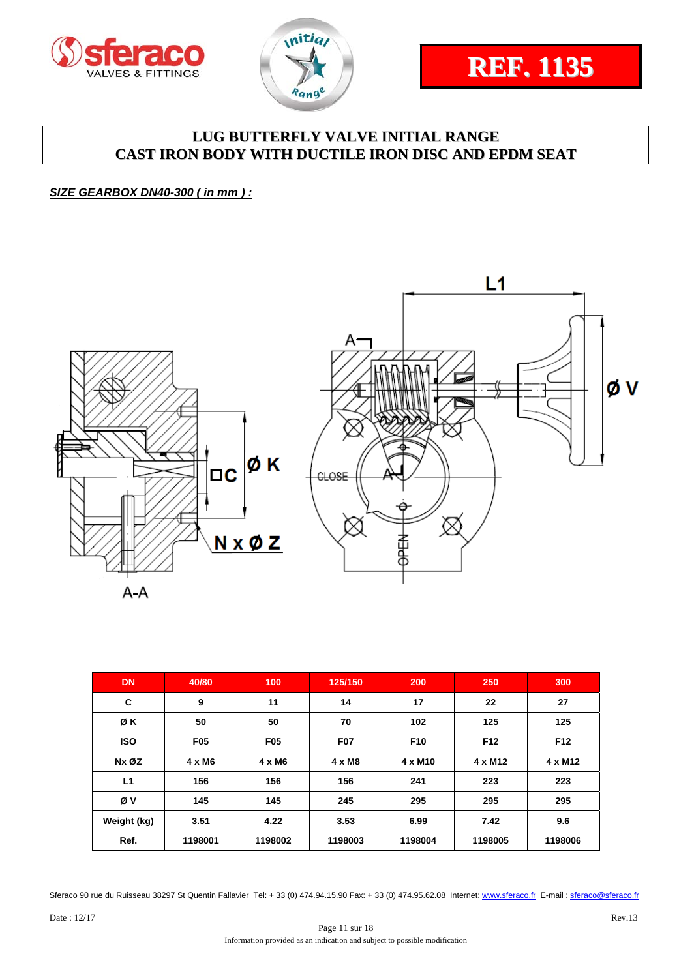



#### *SIZE GEARBOX DN40-300 ( in mm ) :*



| <b>DN</b>   | 40/80         | 100             | 125/150       | 200                 | 250             | 300             |
|-------------|---------------|-----------------|---------------|---------------------|-----------------|-----------------|
| C           | 9             | 11              | 14            | 17                  | 22              | 27              |
| ØΚ          | 50            | 50              | 70            | 102                 | 125             | 125             |
| <b>ISO</b>  | <b>F05</b>    | F <sub>05</sub> | <b>F07</b>    | F <sub>10</sub>     | F <sub>12</sub> | F <sub>12</sub> |
| Nx ØZ       | $4 \times M6$ | 4 x M6          | $4 \times M8$ | 4 x M <sub>10</sub> | $4 \times M12$  | $4 \times M12$  |
| L1          | 156           | 156             | 156           | 241                 | 223             | 223             |
| Øν          | 145           | 145             | 245           | 295                 | 295             | 295             |
| Weight (kg) | 3.51          | 4.22            | 3.53          | 6.99                | 7.42            | 9.6             |
| Ref.        | 1198001       | 1198002         | 1198003       | 1198004             | 1198005         | 1198006         |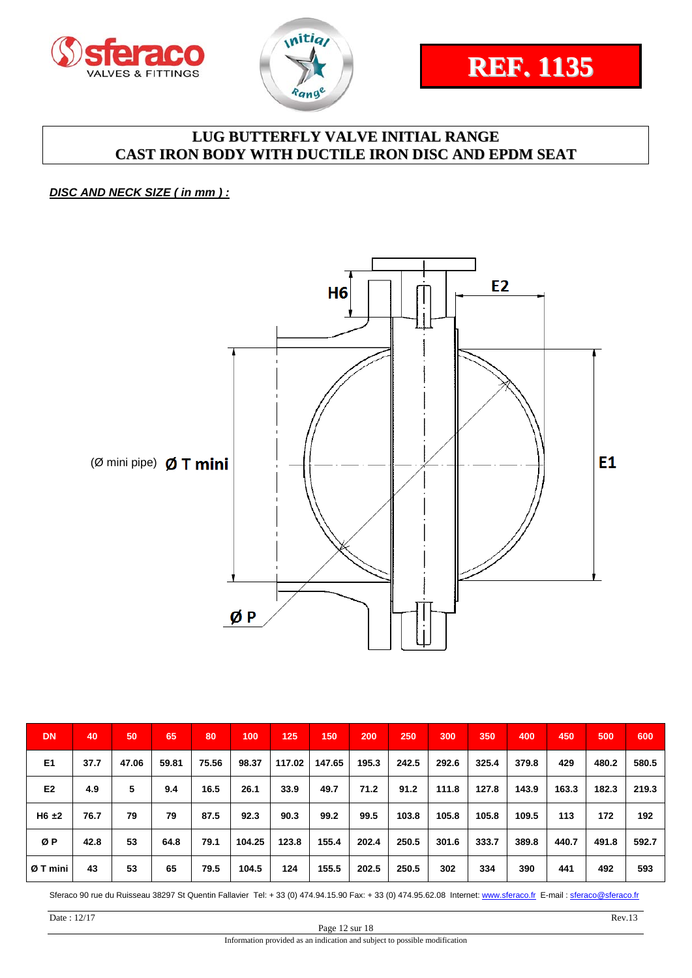



#### *DISC AND NECK SIZE ( in mm ) :*



| <b>DN</b>      | 40   | 50    | 65    | 80    | 100    | 125    | 150    | 200   | 250   | 300   | 350   | 400   | 450   | 500   | 600   |
|----------------|------|-------|-------|-------|--------|--------|--------|-------|-------|-------|-------|-------|-------|-------|-------|
| E <sub>1</sub> | 37.7 | 47.06 | 59.81 | 75.56 | 98.37  | 117.02 | 147.65 | 195.3 | 242.5 | 292.6 | 325.4 | 379.8 | 429   | 480.2 | 580.5 |
| E <sub>2</sub> | 4.9  | 5     | 9.4   | 16.5  | 26.1   | 33.9   | 49.7   | 71.2  | 91.2  | 111.8 | 127.8 | 143.9 | 163.3 | 182.3 | 219.3 |
| $H6 \pm 2$     | 76.7 | 79    | 79    | 87.5  | 92.3   | 90.3   | 99.2   | 99.5  | 103.8 | 105.8 | 105.8 | 109.5 | 113   | 172   | 192   |
| ØP             | 42.8 | 53    | 64.8  | 79.1  | 104.25 | 123.8  | 155.4  | 202.4 | 250.5 | 301.6 | 333.7 | 389.8 | 440.7 | 491.8 | 592.7 |
| Ø T mini       | 43   | 53    | 65    | 79.5  | 104.5  | 124    | 155.5  | 202.5 | 250.5 | 302   | 334   | 390   | 441   | 492   | 593   |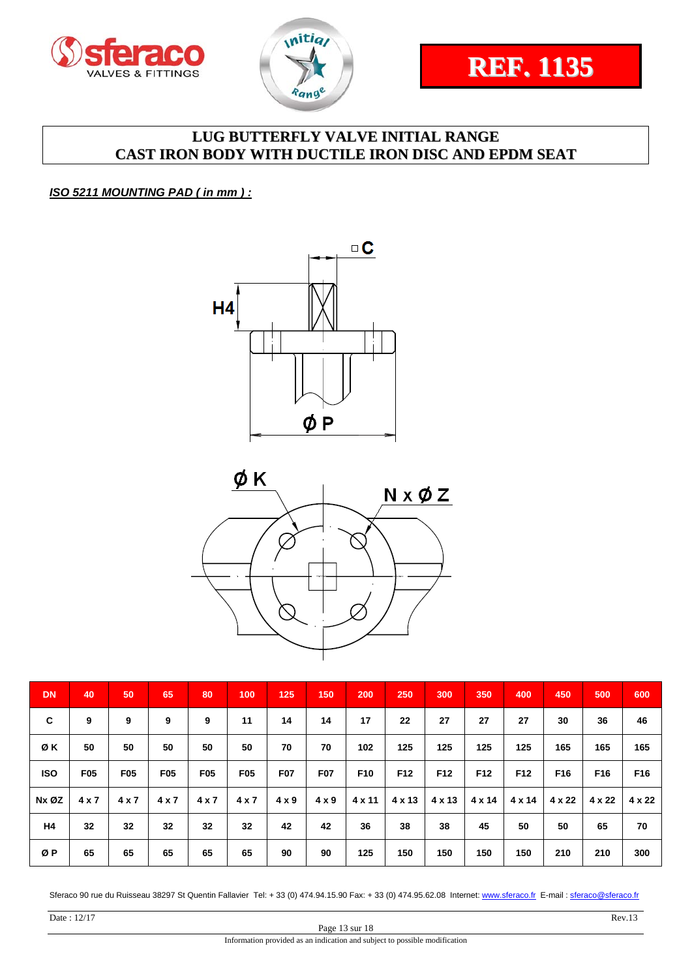



#### *ISO 5211 MOUNTING PAD ( in mm ) :*





| <b>DN</b>      | 40         | 50              | 65         | 80              | 100        | 125          | 150          | 200             | 250    | 300             | 350             | 400             | 450             | 500             | 600             |
|----------------|------------|-----------------|------------|-----------------|------------|--------------|--------------|-----------------|--------|-----------------|-----------------|-----------------|-----------------|-----------------|-----------------|
| C              | 9          | 9               | 9          | 9               | 11         | 14           | 14           | 17              | 22     | 27              | 27              | 27              | 30              | 36              | 46              |
| ØΚ             | 50         | 50              | 50         | 50              | 50         | 70           | 70           | 102             | 125    | 125             | 125             | 125             | 165             | 165             | 165             |
| <b>ISO</b>     | <b>F05</b> | F <sub>05</sub> | <b>F05</b> | F <sub>05</sub> | <b>F05</b> | <b>F07</b>   | <b>F07</b>   | F <sub>10</sub> | F12    | F <sub>12</sub> | F <sub>12</sub> | F <sub>12</sub> | F <sub>16</sub> | F <sub>16</sub> | F <sub>16</sub> |
| Nx ØZ          | 4 x 7      | 4 x 7           | 4x7        | $4 \times 7$    | 4x7        | $4 \times 9$ | $4 \times 9$ | 4 x 11          | 4 x 13 | 4 x 13          | $4 \times 14$   | $4 \times 14$   | $4 \times 22$   | 4 x 22          | $4 \times 22$   |
| H <sub>4</sub> | 32         | 32              | 32         | 32              | 32         | 42           | 42           | 36              | 38     | 38              | 45              | 50              | 50              | 65              | 70              |
| ØΡ             | 65         | 65              | 65         | 65              | 65         | 90           | 90           | 125             | 150    | 150             | 150             | 150             | 210             | 210             | 300             |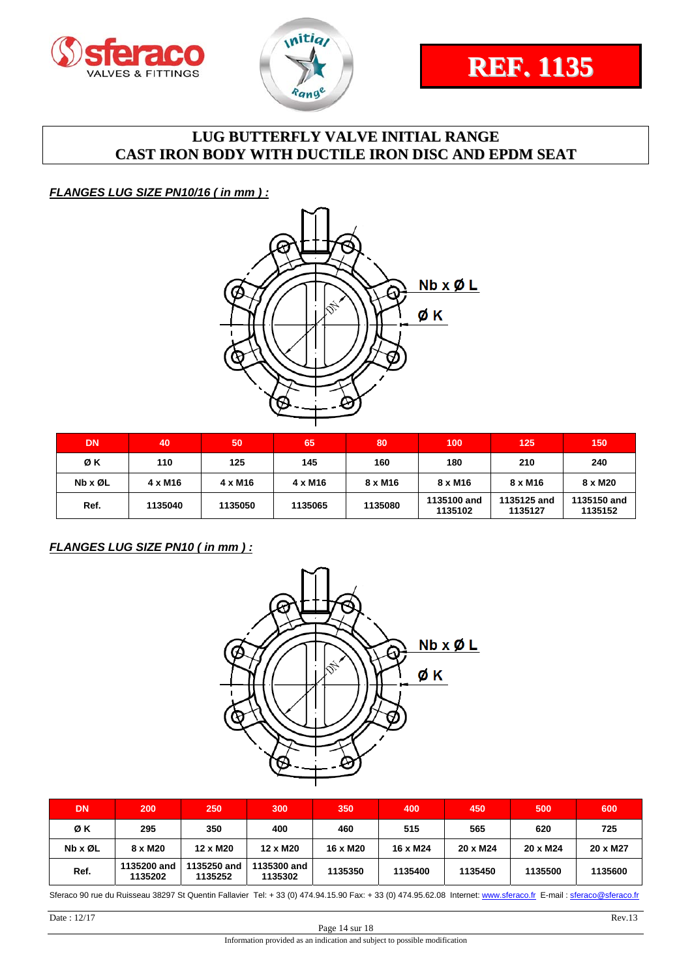



*FLANGES LUG SIZE PN10/16 ( in mm ) :* 



| <b>DN</b>               | 40             | 50             | 65             | 80      | 100                    | 125                    | 150                    |
|-------------------------|----------------|----------------|----------------|---------|------------------------|------------------------|------------------------|
| ØΚ                      | 110            | 125            | 145            | 160     | 180                    | 210                    | 240                    |
| $Nb \times \emptyset L$ | $4 \times M16$ | $4 \times M16$ | $4 \times M16$ | 8 x M16 | 8 x M16                | 8 x M16                | 8 x M20                |
| Ref.                    | 1135040        | 1135050        | 1135065        | 1135080 | 1135100 and<br>1135102 | 1135125 and<br>1135127 | 1135150 and<br>1135152 |

#### *FLANGES LUG SIZE PN10 ( in mm ) :*



| <b>DN</b> | 200                    | 250                    | 300                    | 350      | 400      | 450      | 500      | 600      |
|-----------|------------------------|------------------------|------------------------|----------|----------|----------|----------|----------|
| ØΚ        | 295                    | 350                    | 400                    | 460      | 515      | 565      | 620      | 725      |
| Nb x ØL   | 8 x M20                | 12 x M20               | 12 x M20               | 16 x M20 | 16 x M24 | 20 x M24 | 20 x M24 | 20 x M27 |
| Ref.      | 1135200 and<br>1135202 | 1135250 and<br>1135252 | 1135300 and<br>1135302 | 1135350  | 1135400  | 1135450  | 1135500  | 1135600  |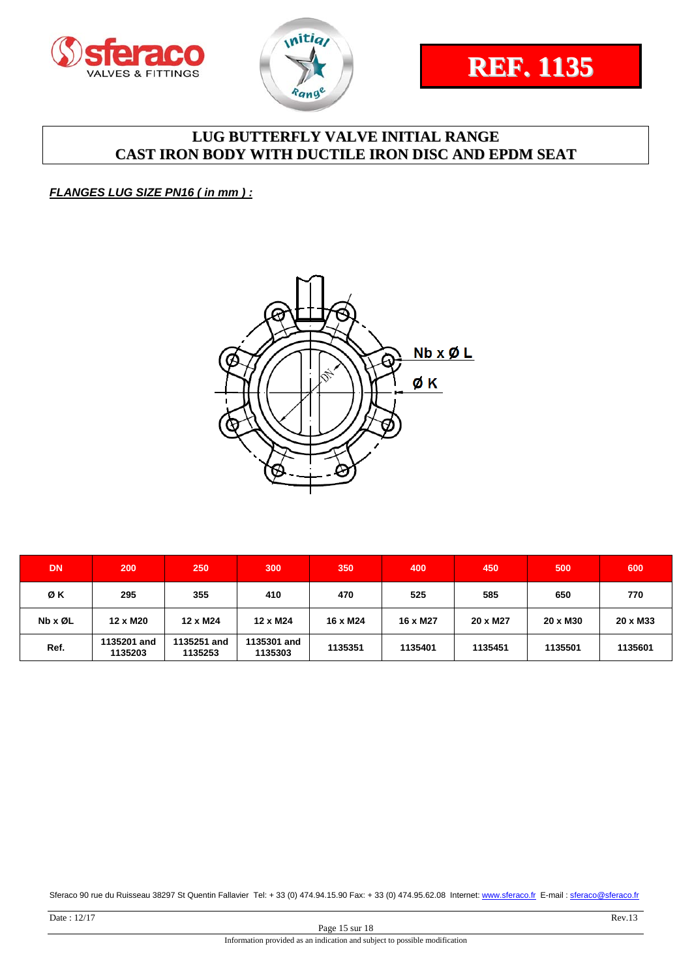





#### *FLANGES LUG SIZE PN16 ( in mm ) :*



| <b>DN</b> | 200                    | 250                    | 300                    | 350      | 400      | 450      | 500      | 600      |
|-----------|------------------------|------------------------|------------------------|----------|----------|----------|----------|----------|
| ØΚ        | 295                    | 355                    | 410                    | 470      | 525      | 585      | 650      | 770      |
| Nb x ØL   | 12 x M20               | 12 x M24               | 12 x M24               | 16 x M24 | 16 x M27 | 20 x M27 | 20 x M30 | 20 x M33 |
| Ref.      | 1135201 and<br>1135203 | 1135251 and<br>1135253 | 1135301 and<br>1135303 | 1135351  | 1135401  | 1135451  | 1135501  | 1135601  |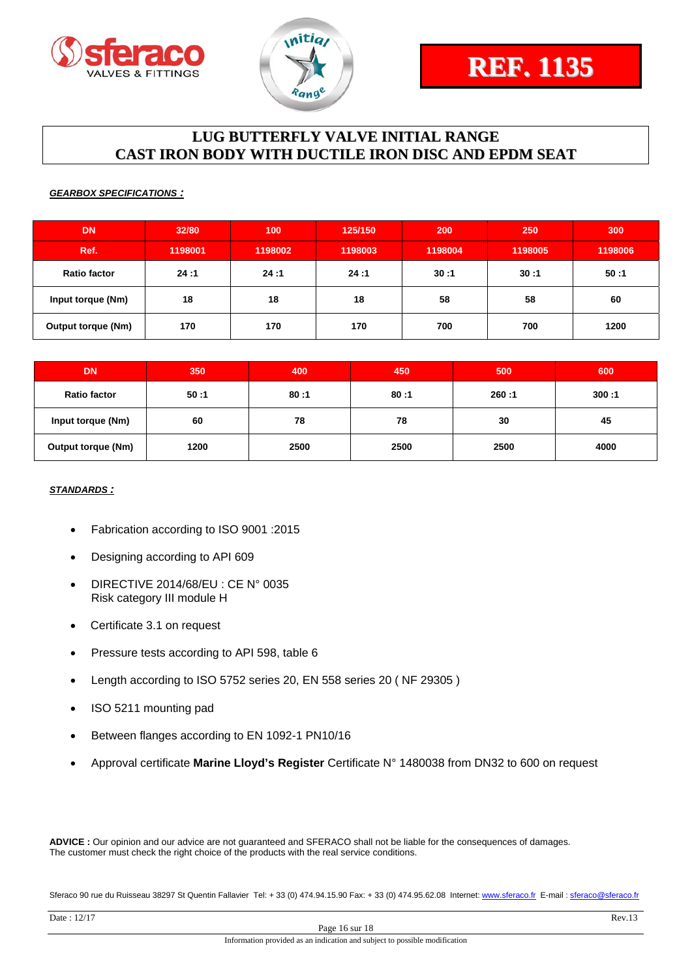



#### *GEARBOX SPECIFICATIONS :*

| <b>DN</b>                 | 32/80   | 100     | 125/150 | 200     | 250     | 300     |
|---------------------------|---------|---------|---------|---------|---------|---------|
| Ref.                      | 1198001 | 1198002 | 1198003 | 1198004 | 1198005 | 1198006 |
| <b>Ratio factor</b>       | 24:1    | 24:1    | 24:1    | 30:1    | 30:1    | 50:1    |
| Input torque (Nm)         | 18      | 18      | 18      | 58      | 58      | 60      |
| <b>Output torque (Nm)</b> | 170     | 170     | 170     | 700     | 700     | 1200    |

| <b>DN</b>                 | 350  | 400  | 450  | 500   | 600   |
|---------------------------|------|------|------|-------|-------|
| <b>Ratio factor</b>       | 50:1 | 80:1 | 80:1 | 260:1 | 300:1 |
| Input torque (Nm)         | 60   | 78   | 78   | 30    | 45    |
| <b>Output torque (Nm)</b> | 1200 | 2500 | 2500 | 2500  | 4000  |

#### *STANDARDS :*

- Fabrication according to ISO 9001 :2015
- Designing according to API 609
- DIRECTIVE 2014/68/EU : CE N° 0035 Risk category III module H
- Certificate 3.1 on request
- Pressure tests according to API 598, table 6
- Length according to ISO 5752 series 20, EN 558 series 20 ( NF 29305 )
- ISO 5211 mounting pad
- Between flanges according to EN 1092-1 PN10/16
- Approval certificate **Marine Lloyd's Register** Certificate N° 1480038 from DN32 to 600 on request

**ADVICE :** Our opinion and our advice are not guaranteed and SFERACO shall not be liable for the consequences of damages. The customer must check the right choice of the products with the real service conditions.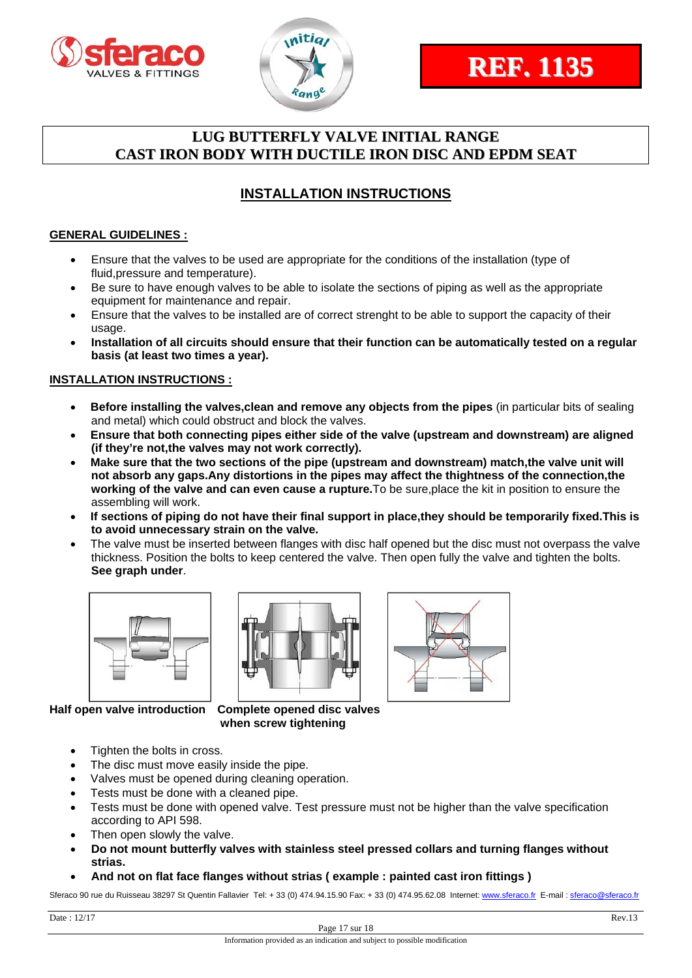



# **INSTALLATION INSTRUCTIONS**

#### **GENERAL GUIDELINES :**

- Ensure that the valves to be used are appropriate for the conditions of the installation (type of fluid,pressure and temperature).
- Be sure to have enough valves to be able to isolate the sections of piping as well as the appropriate equipment for maintenance and repair.
- Ensure that the valves to be installed are of correct strenght to be able to support the capacity of their usage.
- **Installation of all circuits should ensure that their function can be automatically tested on a regular basis (at least two times a year).**

#### **INSTALLATION INSTRUCTIONS :**

- **Before installing the valves,clean and remove any objects from the pipes** (in particular bits of sealing and metal) which could obstruct and block the valves.
- **Ensure that both connecting pipes either side of the valve (upstream and downstream) are aligned (if they're not,the valves may not work correctly).**
- **Make sure that the two sections of the pipe (upstream and downstream) match,the valve unit will not absorb any gaps.Any distortions in the pipes may affect the thightness of the connection,the working of the valve and can even cause a rupture.**To be sure,place the kit in position to ensure the assembling will work.
- **If sections of piping do not have their final support in place,they should be temporarily fixed.This is to avoid unnecessary strain on the valve.**
- The valve must be inserted between flanges with disc half opened but the disc must not overpass the valve thickness. Position the bolts to keep centered the valve. Then open fully the valve and tighten the bolts. **See graph under**.







**Half open valve introduction Complete opened disc valves when screw tightening** 

- Tighten the bolts in cross.
- The disc must move easily inside the pipe.
- Valves must be opened during cleaning operation.
- Tests must be done with a cleaned pipe.
- Tests must be done with opened valve. Test pressure must not be higher than the valve specification according to API 598.
- Then open slowly the valve.
- **Do not mount butterfly valves with stainless steel pressed collars and turning flanges without strias.**
- **And not on flat face flanges without strias ( example : painted cast iron fittings )**